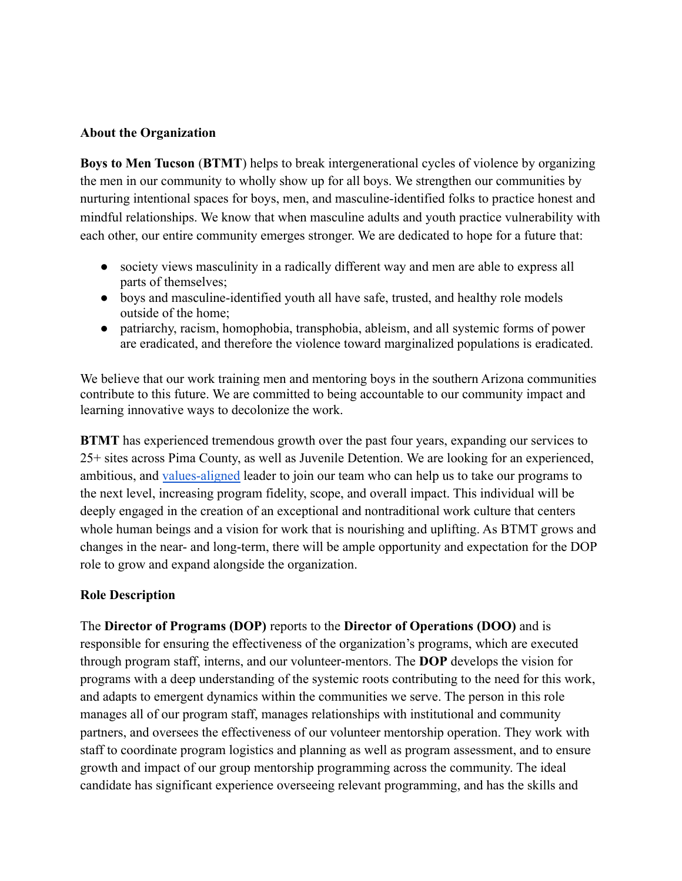#### **About the Organization**

**Boys to Men Tucson** (**BTMT**) helps to break intergenerational cycles of violence by organizing the men in our community to wholly show up for all boys. We strengthen our communities by nurturing intentional spaces for boys, men, and masculine-identified folks to practice honest and mindful relationships. We know that when masculine adults and youth practice vulnerability with each other, our entire community emerges stronger. We are dedicated to hope for a future that:

- society views masculinity in a radically different way and men are able to express all parts of themselves;
- boys and masculine-identified youth all have safe, trusted, and healthy role models outside of the home;
- patriarchy, racism, homophobia, transphobia, ableism, and all systemic forms of power are eradicated, and therefore the violence toward marginalized populations is eradicated.

We believe that our work training men and mentoring boys in the southern Arizona communities contribute to this future. We are committed to being accountable to our community impact and learning innovative ways to decolonize the work.

**BTMT** has experienced tremendous growth over the past four years, expanding our services to 25+ sites across Pima County, as well as Juvenile Detention. We are looking for an experienced, ambitious, and [values-aligned](https://btmtucson.com/who-we-are/core-values.html) leader to join our team who can help us to take our programs to the next level, increasing program fidelity, scope, and overall impact. This individual will be deeply engaged in the creation of an exceptional and nontraditional work culture that centers whole human beings and a vision for work that is nourishing and uplifting. As BTMT grows and changes in the near- and long-term, there will be ample opportunity and expectation for the DOP role to grow and expand alongside the organization.

#### **Role Description**

The **Director of Programs (DOP)** reports to the **Director of Operations (DOO)** and is responsible for ensuring the effectiveness of the organization's programs, which are executed through program staff, interns, and our volunteer-mentors. The **DOP** develops the vision for programs with a deep understanding of the systemic roots contributing to the need for this work, and adapts to emergent dynamics within the communities we serve. The person in this role manages all of our program staff, manages relationships with institutional and community partners, and oversees the effectiveness of our volunteer mentorship operation. They work with staff to coordinate program logistics and planning as well as program assessment, and to ensure growth and impact of our group mentorship programming across the community. The ideal candidate has significant experience overseeing relevant programming, and has the skills and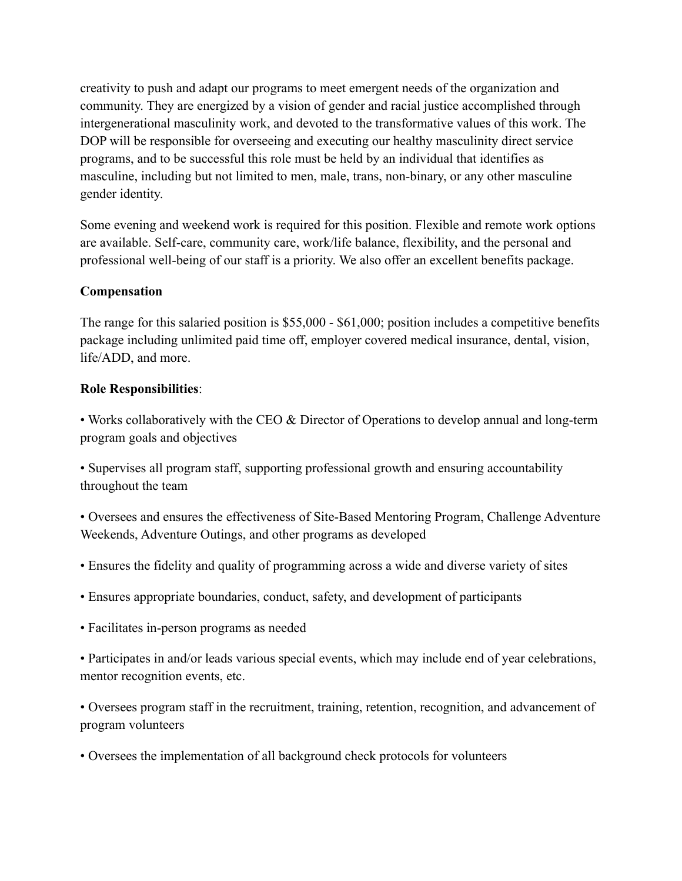creativity to push and adapt our programs to meet emergent needs of the organization and community. They are energized by a vision of gender and racial justice accomplished through intergenerational masculinity work, and devoted to the transformative values of this work. The DOP will be responsible for overseeing and executing our healthy masculinity direct service programs, and to be successful this role must be held by an individual that identifies as masculine, including but not limited to men, male, trans, non-binary, or any other masculine gender identity.

Some evening and weekend work is required for this position. Flexible and remote work options are available. Self-care, community care, work/life balance, flexibility, and the personal and professional well-being of our staff is a priority. We also offer an excellent benefits package.

## **Compensation**

The range for this salaried position is \$55,000 - \$61,000; position includes a competitive benefits package including unlimited paid time off, employer covered medical insurance, dental, vision, life/ADD, and more.

## **Role Responsibilities**:

• Works collaboratively with the CEO & Director of Operations to develop annual and long-term program goals and objectives

• Supervises all program staff, supporting professional growth and ensuring accountability throughout the team

• Oversees and ensures the effectiveness of Site-Based Mentoring Program, Challenge Adventure Weekends, Adventure Outings, and other programs as developed

- Ensures the fidelity and quality of programming across a wide and diverse variety of sites
- Ensures appropriate boundaries, conduct, safety, and development of participants
- Facilitates in-person programs as needed

• Participates in and/or leads various special events, which may include end of year celebrations, mentor recognition events, etc.

• Oversees program staff in the recruitment, training, retention, recognition, and advancement of program volunteers

• Oversees the implementation of all background check protocols for volunteers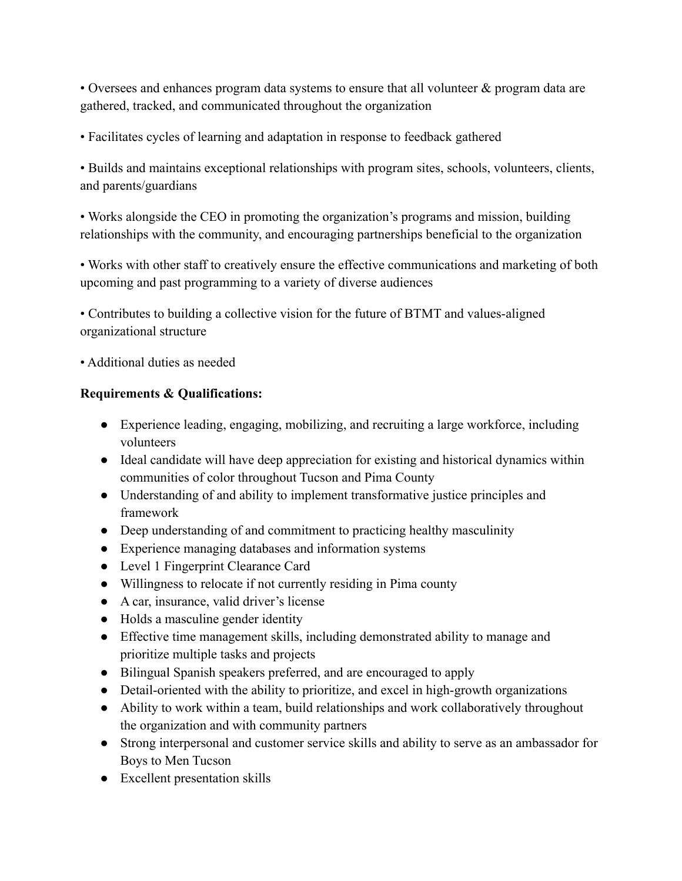• Oversees and enhances program data systems to ensure that all volunteer & program data are gathered, tracked, and communicated throughout the organization

• Facilitates cycles of learning and adaptation in response to feedback gathered

• Builds and maintains exceptional relationships with program sites, schools, volunteers, clients, and parents/guardians

• Works alongside the CEO in promoting the organization's programs and mission, building relationships with the community, and encouraging partnerships beneficial to the organization

• Works with other staff to creatively ensure the effective communications and marketing of both upcoming and past programming to a variety of diverse audiences

• Contributes to building a collective vision for the future of BTMT and values-aligned organizational structure

• Additional duties as needed

# **Requirements & Qualifications:**

- Experience leading, engaging, mobilizing, and recruiting a large workforce, including volunteers
- Ideal candidate will have deep appreciation for existing and historical dynamics within communities of color throughout Tucson and Pima County
- Understanding of and ability to implement transformative justice principles and framework
- Deep understanding of and commitment to practicing healthy masculinity
- Experience managing databases and information systems
- Level 1 Fingerprint Clearance Card
- Willingness to relocate if not currently residing in Pima county
- A car, insurance, valid driver's license
- Holds a masculine gender identity
- Effective time management skills, including demonstrated ability to manage and prioritize multiple tasks and projects
- Bilingual Spanish speakers preferred, and are encouraged to apply
- Detail-oriented with the ability to prioritize, and excel in high-growth organizations
- Ability to work within a team, build relationships and work collaboratively throughout the organization and with community partners
- Strong interpersonal and customer service skills and ability to serve as an ambassador for Boys to Men Tucson
- Excellent presentation skills